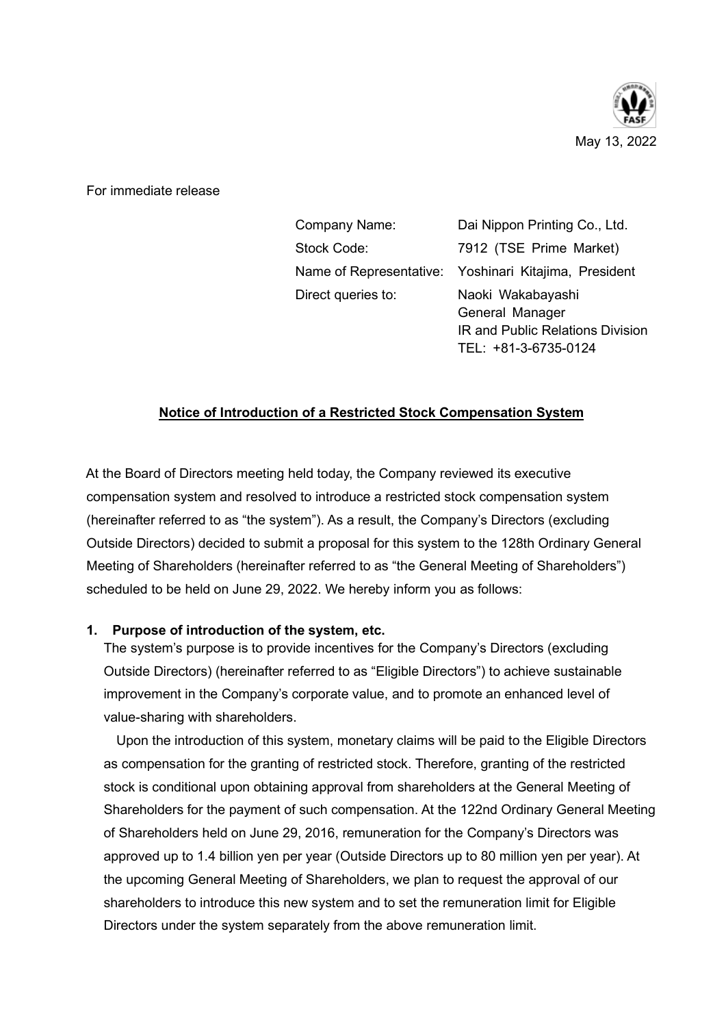

For immediate release

| Company Name:      | Dai Nippon Printing Co., Ltd.                         |
|--------------------|-------------------------------------------------------|
| Stock Code:        | 7912 (TSE Prime Market)                               |
|                    | Name of Representative: Yoshinari Kitajima, President |
| Direct queries to: | Naoki Wakabayashi                                     |
|                    | General Manager                                       |
|                    | IR and Public Relations Division                      |

TEL: +81-3-6735-0124

## Notice of Introduction of a Restricted Stock Compensation System

At the Board of Directors meeting held today, the Company reviewed its executive compensation system and resolved to introduce a restricted stock compensation system (hereinafter referred to as "the system"). As a result, the Company's Directors (excluding Outside Directors) decided to submit a proposal for this system to the 128th Ordinary General Meeting of Shareholders (hereinafter referred to as "the General Meeting of Shareholders") scheduled to be held on June 29, 2022. We hereby inform you as follows:

## 1. Purpose of introduction of the system, etc.

The system's purpose is to provide incentives for the Company's Directors (excluding Outside Directors) (hereinafter referred to as "Eligible Directors") to achieve sustainable improvement in the Company's corporate value, and to promote an enhanced level of value-sharing with shareholders.

Upon the introduction of this system, monetary claims will be paid to the Eligible Directors as compensation for the granting of restricted stock. Therefore, granting of the restricted stock is conditional upon obtaining approval from shareholders at the General Meeting of Shareholders for the payment of such compensation. At the 122nd Ordinary General Meeting of Shareholders held on June 29, 2016, remuneration for the Company's Directors was approved up to 1.4 billion yen per year (Outside Directors up to 80 million yen per year). At the upcoming General Meeting of Shareholders, we plan to request the approval of our shareholders to introduce this new system and to set the remuneration limit for Eligible Directors under the system separately from the above remuneration limit.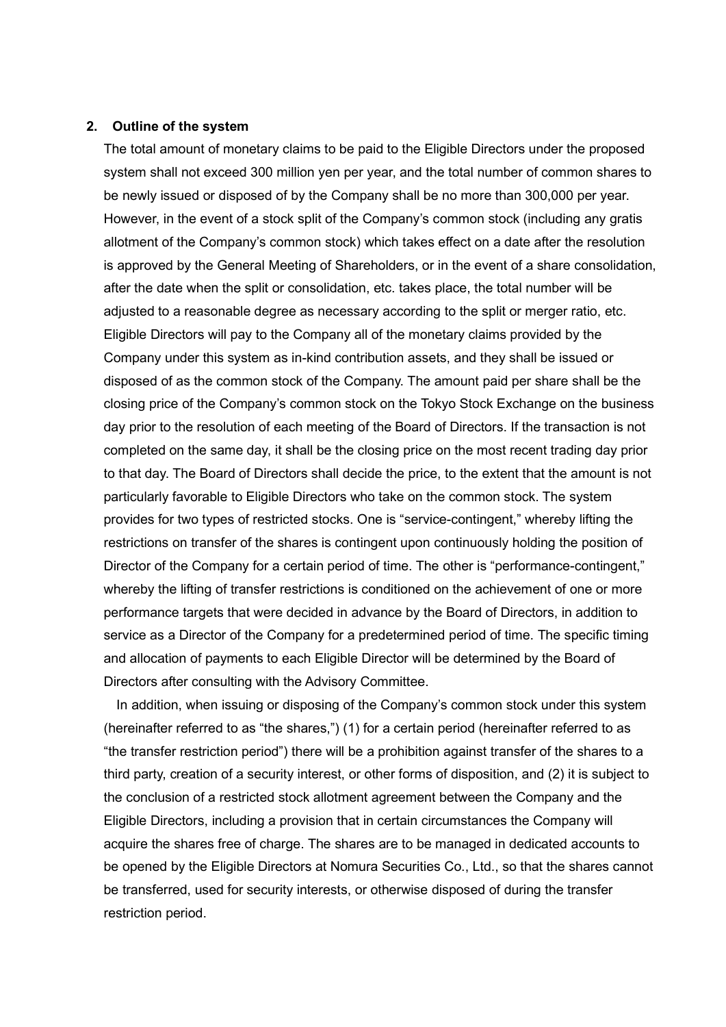## 2. Outline of the system

The total amount of monetary claims to be paid to the Eligible Directors under the proposed system shall not exceed 300 million yen per year, and the total number of common shares to be newly issued or disposed of by the Company shall be no more than 300,000 per year. However, in the event of a stock split of the Company's common stock (including any gratis allotment of the Company's common stock) which takes effect on a date after the resolution is approved by the General Meeting of Shareholders, or in the event of a share consolidation, after the date when the split or consolidation, etc. takes place, the total number will be adjusted to a reasonable degree as necessary according to the split or merger ratio, etc. Eligible Directors will pay to the Company all of the monetary claims provided by the Company under this system as in-kind contribution assets, and they shall be issued or disposed of as the common stock of the Company. The amount paid per share shall be the closing price of the Company's common stock on the Tokyo Stock Exchange on the business day prior to the resolution of each meeting of the Board of Directors. If the transaction is not completed on the same day, it shall be the closing price on the most recent trading day prior to that day. The Board of Directors shall decide the price, to the extent that the amount is not particularly favorable to Eligible Directors who take on the common stock. The system provides for two types of restricted stocks. One is "service-contingent," whereby lifting the restrictions on transfer of the shares is contingent upon continuously holding the position of Director of the Company for a certain period of time. The other is "performance-contingent," whereby the lifting of transfer restrictions is conditioned on the achievement of one or more performance targets that were decided in advance by the Board of Directors, in addition to service as a Director of the Company for a predetermined period of time. The specific timing and allocation of payments to each Eligible Director will be determined by the Board of Directors after consulting with the Advisory Committee.

In addition, when issuing or disposing of the Company's common stock under this system (hereinafter referred to as "the shares,") (1) for a certain period (hereinafter referred to as "the transfer restriction period") there will be a prohibition against transfer of the shares to a third party, creation of a security interest, or other forms of disposition, and (2) it is subject to the conclusion of a restricted stock allotment agreement between the Company and the Eligible Directors, including a provision that in certain circumstances the Company will acquire the shares free of charge. The shares are to be managed in dedicated accounts to be opened by the Eligible Directors at Nomura Securities Co., Ltd., so that the shares cannot be transferred, used for security interests, or otherwise disposed of during the transfer restriction period.